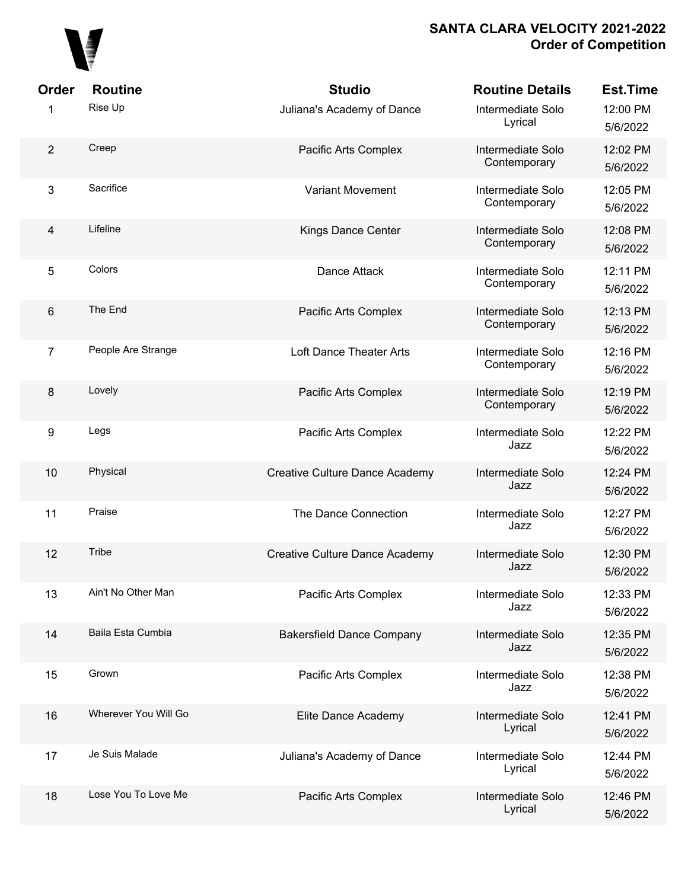

| Order                   | <b>Routine</b>       | <b>Studio</b>                         | <b>Routine Details</b>            | <b>Est.Time</b>      |
|-------------------------|----------------------|---------------------------------------|-----------------------------------|----------------------|
| 1                       | Rise Up              | Juliana's Academy of Dance            | Intermediate Solo<br>Lyrical      | 12:00 PM<br>5/6/2022 |
| $\overline{2}$          | Creep                | Pacific Arts Complex                  | Intermediate Solo<br>Contemporary | 12:02 PM<br>5/6/2022 |
| $\mathfrak{3}$          | Sacrifice            | <b>Variant Movement</b>               | Intermediate Solo<br>Contemporary | 12:05 PM<br>5/6/2022 |
| $\overline{\mathbf{4}}$ | Lifeline             | Kings Dance Center                    | Intermediate Solo<br>Contemporary | 12:08 PM<br>5/6/2022 |
| $\sqrt{5}$              | Colors               | Dance Attack                          | Intermediate Solo<br>Contemporary | 12:11 PM<br>5/6/2022 |
| $\,6\,$                 | The End              | Pacific Arts Complex                  | Intermediate Solo<br>Contemporary | 12:13 PM<br>5/6/2022 |
| $\overline{7}$          | People Are Strange   | Loft Dance Theater Arts               | Intermediate Solo<br>Contemporary | 12:16 PM<br>5/6/2022 |
| 8                       | Lovely               | Pacific Arts Complex                  | Intermediate Solo<br>Contemporary | 12:19 PM<br>5/6/2022 |
| $\boldsymbol{9}$        | Legs                 | Pacific Arts Complex                  | Intermediate Solo<br>Jazz         | 12:22 PM<br>5/6/2022 |
| 10                      | Physical             | Creative Culture Dance Academy        | Intermediate Solo<br>Jazz         | 12:24 PM<br>5/6/2022 |
| 11                      | Praise               | The Dance Connection                  | Intermediate Solo<br>Jazz         | 12:27 PM<br>5/6/2022 |
| 12                      | Tribe                | <b>Creative Culture Dance Academy</b> | Intermediate Solo<br>Jazz         | 12:30 PM<br>5/6/2022 |
| 13                      | Ain't No Other Man   | Pacific Arts Complex                  | Intermediate Solo<br>Jazz         | 12:33 PM<br>5/6/2022 |
| 14                      | Baila Esta Cumbia    | <b>Bakersfield Dance Company</b>      | Intermediate Solo<br>Jazz         | 12:35 PM<br>5/6/2022 |
| 15                      | Grown                | Pacific Arts Complex                  | Intermediate Solo<br>Jazz         | 12:38 PM<br>5/6/2022 |
| 16                      | Wherever You Will Go | Elite Dance Academy                   | Intermediate Solo<br>Lyrical      | 12:41 PM<br>5/6/2022 |
| 17                      | Je Suis Malade       | Juliana's Academy of Dance            | Intermediate Solo<br>Lyrical      | 12:44 PM<br>5/6/2022 |
| 18                      | Lose You To Love Me  | Pacific Arts Complex                  | Intermediate Solo<br>Lyrical      | 12:46 PM<br>5/6/2022 |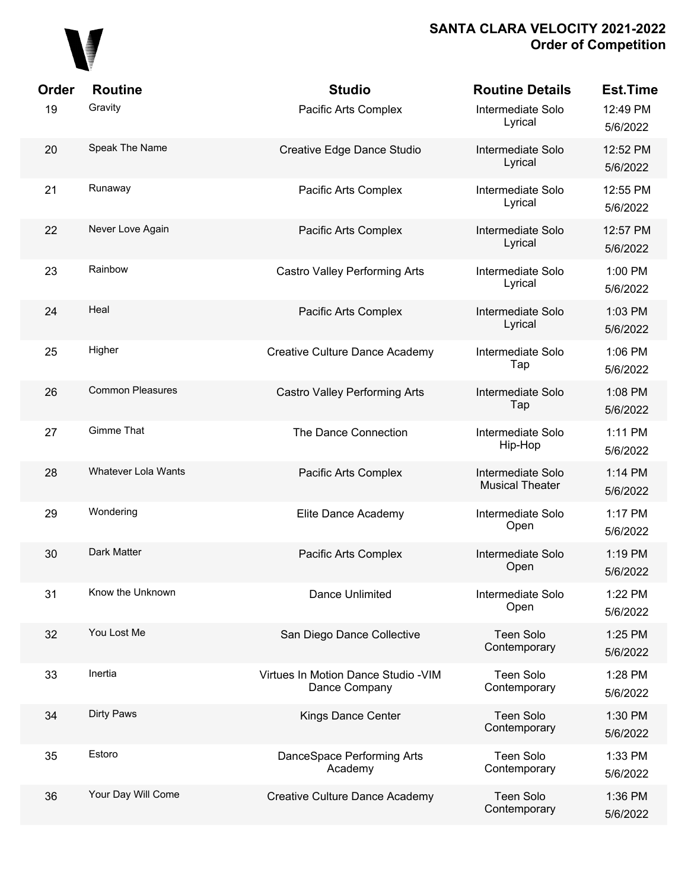

| Order | <b>Routine</b>          | <b>Studio</b>                                         | <b>Routine Details</b>                      | <b>Est.Time</b>      |
|-------|-------------------------|-------------------------------------------------------|---------------------------------------------|----------------------|
| 19    | Gravity                 | Pacific Arts Complex                                  | Intermediate Solo<br>Lyrical                | 12:49 PM<br>5/6/2022 |
| 20    | Speak The Name          | Creative Edge Dance Studio                            | Intermediate Solo<br>Lyrical                | 12:52 PM<br>5/6/2022 |
| 21    | Runaway                 | Pacific Arts Complex                                  | Intermediate Solo<br>Lyrical                | 12:55 PM<br>5/6/2022 |
| 22    | Never Love Again        | Pacific Arts Complex                                  | Intermediate Solo<br>Lyrical                | 12:57 PM<br>5/6/2022 |
| 23    | Rainbow                 | <b>Castro Valley Performing Arts</b>                  | Intermediate Solo<br>Lyrical                | 1:00 PM<br>5/6/2022  |
| 24    | Heal                    | Pacific Arts Complex                                  | Intermediate Solo<br>Lyrical                | 1:03 PM<br>5/6/2022  |
| 25    | Higher                  | Creative Culture Dance Academy                        | Intermediate Solo<br>Tap                    | 1:06 PM<br>5/6/2022  |
| 26    | <b>Common Pleasures</b> | <b>Castro Valley Performing Arts</b>                  | Intermediate Solo<br>Tap                    | 1:08 PM<br>5/6/2022  |
| 27    | <b>Gimme That</b>       | The Dance Connection                                  | Intermediate Solo<br>Hip-Hop                | 1:11 PM<br>5/6/2022  |
| 28    | Whatever Lola Wants     | Pacific Arts Complex                                  | Intermediate Solo<br><b>Musical Theater</b> | 1:14 PM<br>5/6/2022  |
| 29    | Wondering               | Elite Dance Academy                                   | Intermediate Solo<br>Open                   | 1:17 PM<br>5/6/2022  |
| 30    | Dark Matter             | Pacific Arts Complex                                  | Intermediate Solo<br>Open                   | 1:19 PM<br>5/6/2022  |
| 31    | Know the Unknown        | Dance Unlimited                                       | Intermediate Solo<br>Open                   | 1:22 PM<br>5/6/2022  |
| 32    | You Lost Me             | San Diego Dance Collective                            | <b>Teen Solo</b><br>Contemporary            | 1:25 PM<br>5/6/2022  |
| 33    | Inertia                 | Virtues In Motion Dance Studio - VIM<br>Dance Company | Teen Solo<br>Contemporary                   | 1:28 PM<br>5/6/2022  |
| 34    | Dirty Paws              | Kings Dance Center                                    | Teen Solo<br>Contemporary                   | 1:30 PM<br>5/6/2022  |
| 35    | Estoro                  | DanceSpace Performing Arts<br>Academy                 | Teen Solo<br>Contemporary                   | 1:33 PM<br>5/6/2022  |
| 36    | Your Day Will Come      | Creative Culture Dance Academy                        | <b>Teen Solo</b><br>Contemporary            | 1:36 PM<br>5/6/2022  |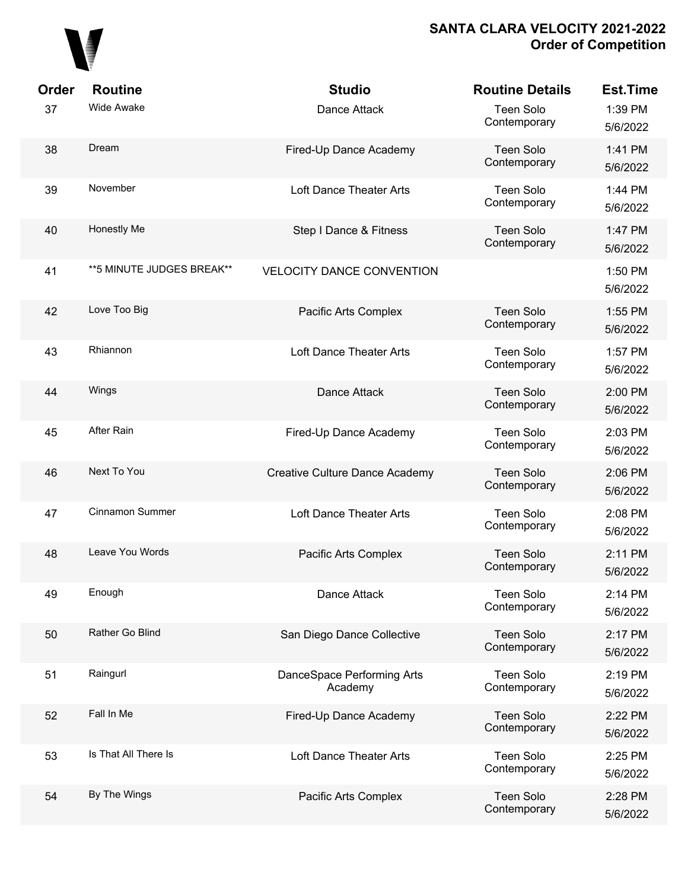

| Order | <b>Routine</b>             | <b>Studio</b>                         | <b>Routine Details</b>           | <b>Est.Time</b>     |
|-------|----------------------------|---------------------------------------|----------------------------------|---------------------|
| 37    | <b>Wide Awake</b>          | Dance Attack                          | <b>Teen Solo</b><br>Contemporary | 1:39 PM<br>5/6/2022 |
| 38    | Dream                      | Fired-Up Dance Academy                | Teen Solo<br>Contemporary        | 1:41 PM<br>5/6/2022 |
| 39    | November                   | Loft Dance Theater Arts               | <b>Teen Solo</b><br>Contemporary | 1:44 PM<br>5/6/2022 |
| 40    | Honestly Me                | Step I Dance & Fitness                | <b>Teen Solo</b><br>Contemporary | 1:47 PM<br>5/6/2022 |
| 41    | ** 5 MINUTE JUDGES BREAK** | <b>VELOCITY DANCE CONVENTION</b>      |                                  | 1:50 PM<br>5/6/2022 |
| 42    | Love Too Big               | Pacific Arts Complex                  | Teen Solo<br>Contemporary        | 1:55 PM<br>5/6/2022 |
| 43    | Rhiannon                   | Loft Dance Theater Arts               | <b>Teen Solo</b><br>Contemporary | 1:57 PM<br>5/6/2022 |
| 44    | Wings                      | Dance Attack                          | Teen Solo<br>Contemporary        | 2:00 PM<br>5/6/2022 |
| 45    | After Rain                 | Fired-Up Dance Academy                | <b>Teen Solo</b><br>Contemporary | 2:03 PM<br>5/6/2022 |
| 46    | Next To You                | Creative Culture Dance Academy        | Teen Solo<br>Contemporary        | 2:06 PM<br>5/6/2022 |
| 47    | Cinnamon Summer            | Loft Dance Theater Arts               | <b>Teen Solo</b><br>Contemporary | 2:08 PM<br>5/6/2022 |
| 48    | Leave You Words            | Pacific Arts Complex                  | Teen Solo<br>Contemporary        | 2:11 PM<br>5/6/2022 |
| 49    | Enough                     | Dance Attack                          | Teen Solo<br>Contemporary        | 2:14 PM<br>5/6/2022 |
| 50    | Rather Go Blind            | San Diego Dance Collective            | <b>Teen Solo</b><br>Contemporary | 2:17 PM<br>5/6/2022 |
| 51    | Raingurl                   | DanceSpace Performing Arts<br>Academy | <b>Teen Solo</b><br>Contemporary | 2:19 PM<br>5/6/2022 |
| 52    | Fall In Me                 | Fired-Up Dance Academy                | <b>Teen Solo</b><br>Contemporary | 2:22 PM<br>5/6/2022 |
| 53    | Is That All There Is       | Loft Dance Theater Arts               | <b>Teen Solo</b><br>Contemporary | 2:25 PM<br>5/6/2022 |
| 54    | By The Wings               | Pacific Arts Complex                  | <b>Teen Solo</b><br>Contemporary | 2:28 PM<br>5/6/2022 |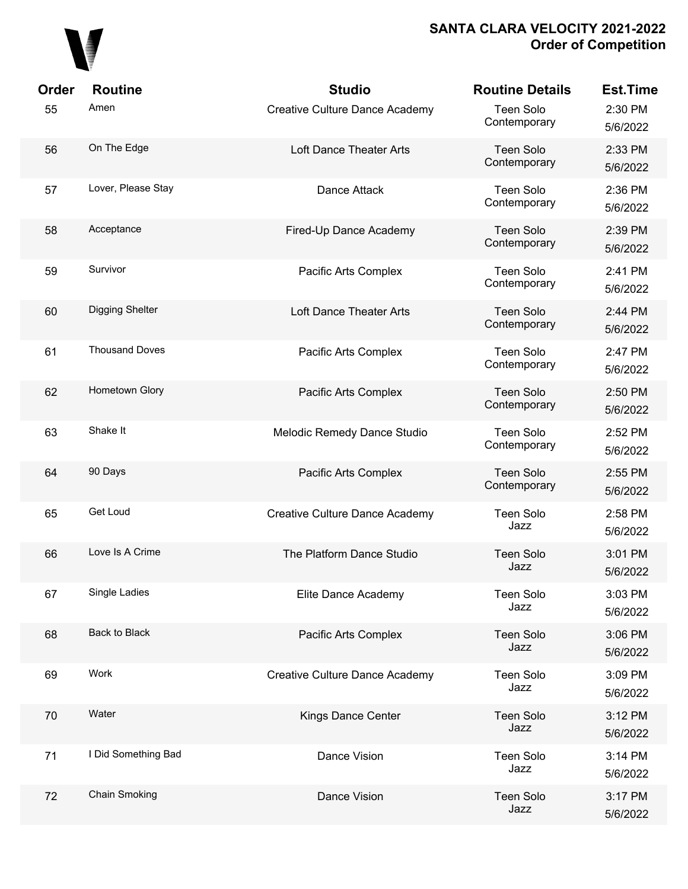

| Order | <b>Routine</b>        | <b>Studio</b>                  | <b>Routine Details</b>           | <b>Est.Time</b>     |
|-------|-----------------------|--------------------------------|----------------------------------|---------------------|
| 55    | Amen                  | Creative Culture Dance Academy | <b>Teen Solo</b><br>Contemporary | 2:30 PM<br>5/6/2022 |
| 56    | On The Edge           | Loft Dance Theater Arts        | <b>Teen Solo</b><br>Contemporary | 2:33 PM<br>5/6/2022 |
| 57    | Lover, Please Stay    | Dance Attack                   | <b>Teen Solo</b><br>Contemporary | 2:36 PM<br>5/6/2022 |
| 58    | Acceptance            | Fired-Up Dance Academy         | <b>Teen Solo</b><br>Contemporary | 2:39 PM<br>5/6/2022 |
| 59    | Survivor              | Pacific Arts Complex           | <b>Teen Solo</b><br>Contemporary | 2:41 PM<br>5/6/2022 |
| 60    | Digging Shelter       | Loft Dance Theater Arts        | <b>Teen Solo</b><br>Contemporary | 2:44 PM<br>5/6/2022 |
| 61    | <b>Thousand Doves</b> | Pacific Arts Complex           | <b>Teen Solo</b><br>Contemporary | 2:47 PM<br>5/6/2022 |
| 62    | Hometown Glory        | Pacific Arts Complex           | <b>Teen Solo</b><br>Contemporary | 2:50 PM<br>5/6/2022 |
| 63    | Shake It              | Melodic Remedy Dance Studio    | <b>Teen Solo</b><br>Contemporary | 2:52 PM<br>5/6/2022 |
| 64    | 90 Days               | Pacific Arts Complex           | <b>Teen Solo</b><br>Contemporary | 2:55 PM<br>5/6/2022 |
| 65    | Get Loud              | Creative Culture Dance Academy | <b>Teen Solo</b><br>Jazz         | 2:58 PM<br>5/6/2022 |
| 66    | Love Is A Crime       | The Platform Dance Studio      | <b>Teen Solo</b><br>Jazz         | 3:01 PM<br>5/6/2022 |
| 67    | Single Ladies         | Elite Dance Academy            | <b>Teen Solo</b><br>Jazz         | 3:03 PM<br>5/6/2022 |
| 68    | Back to Black         | Pacific Arts Complex           | <b>Teen Solo</b><br>Jazz         | 3:06 PM<br>5/6/2022 |
| 69    | Work                  | Creative Culture Dance Academy | <b>Teen Solo</b><br>Jazz         | 3:09 PM<br>5/6/2022 |
| 70    | Water                 | Kings Dance Center             | <b>Teen Solo</b><br>Jazz         | 3:12 PM<br>5/6/2022 |
| 71    | I Did Something Bad   | Dance Vision                   | <b>Teen Solo</b><br>Jazz         | 3:14 PM<br>5/6/2022 |
| 72    | Chain Smoking         | Dance Vision                   | <b>Teen Solo</b><br>Jazz         | 3:17 PM<br>5/6/2022 |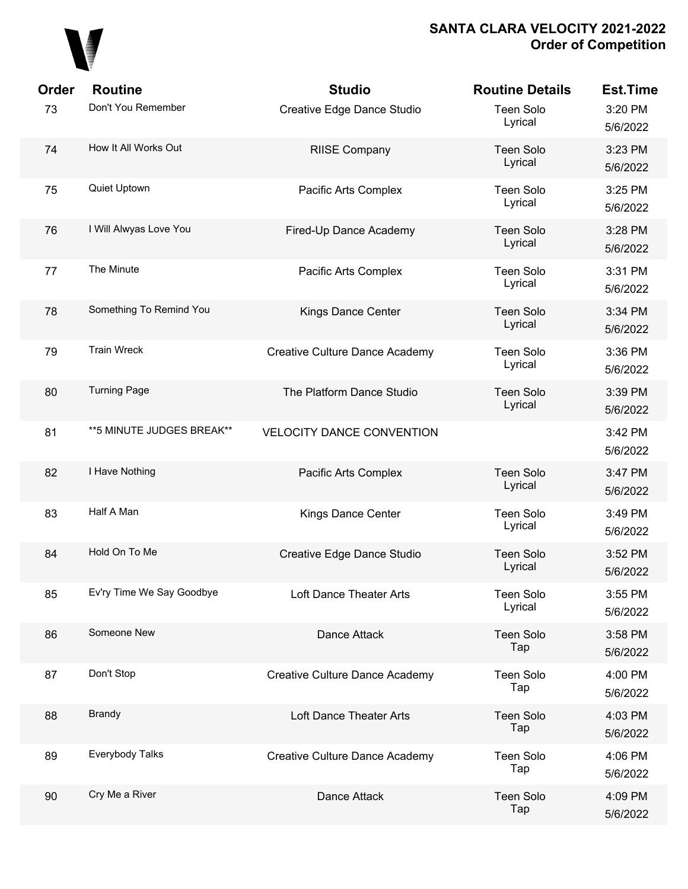

| <b>Order</b> | <b>Routine</b>             | <b>Studio</b>                         | <b>Routine Details</b>      | <b>Est.Time</b>     |
|--------------|----------------------------|---------------------------------------|-----------------------------|---------------------|
| 73           | Don't You Remember         | Creative Edge Dance Studio            | <b>Teen Solo</b><br>Lyrical | 3:20 PM<br>5/6/2022 |
| 74           | How It All Works Out       | <b>RIISE Company</b>                  | <b>Teen Solo</b><br>Lyrical | 3:23 PM<br>5/6/2022 |
| 75           | Quiet Uptown               | Pacific Arts Complex                  | <b>Teen Solo</b><br>Lyrical | 3:25 PM<br>5/6/2022 |
| 76           | I Will Alwyas Love You     | Fired-Up Dance Academy                | <b>Teen Solo</b><br>Lyrical | 3:28 PM<br>5/6/2022 |
| 77           | The Minute                 | Pacific Arts Complex                  | <b>Teen Solo</b><br>Lyrical | 3:31 PM<br>5/6/2022 |
| 78           | Something To Remind You    | Kings Dance Center                    | <b>Teen Solo</b><br>Lyrical | 3:34 PM<br>5/6/2022 |
| 79           | <b>Train Wreck</b>         | <b>Creative Culture Dance Academy</b> | <b>Teen Solo</b><br>Lyrical | 3:36 PM<br>5/6/2022 |
| 80           | <b>Turning Page</b>        | The Platform Dance Studio             | <b>Teen Solo</b><br>Lyrical | 3:39 PM<br>5/6/2022 |
| 81           | ** 5 MINUTE JUDGES BREAK** | <b>VELOCITY DANCE CONVENTION</b>      |                             | 3:42 PM<br>5/6/2022 |
| 82           | I Have Nothing             | Pacific Arts Complex                  | <b>Teen Solo</b><br>Lyrical | 3:47 PM<br>5/6/2022 |
| 83           | Half A Man                 | Kings Dance Center                    | <b>Teen Solo</b><br>Lyrical | 3:49 PM<br>5/6/2022 |
| 84           | Hold On To Me              | Creative Edge Dance Studio            | <b>Teen Solo</b><br>Lyrical | 3:52 PM<br>5/6/2022 |
| 85           | Ev'ry Time We Say Goodbye  | Loft Dance Theater Arts               | <b>Teen Solo</b><br>Lyrical | 3:55 PM<br>5/6/2022 |
| 86           | Someone New                | Dance Attack                          | <b>Teen Solo</b><br>Tap     | 3:58 PM<br>5/6/2022 |
| 87           | Don't Stop                 | Creative Culture Dance Academy        | <b>Teen Solo</b><br>Tap     | 4:00 PM<br>5/6/2022 |
| 88           | <b>Brandy</b>              | Loft Dance Theater Arts               | <b>Teen Solo</b><br>Tap     | 4:03 PM<br>5/6/2022 |
| 89           | Everybody Talks            | Creative Culture Dance Academy        | <b>Teen Solo</b><br>Tap     | 4:06 PM<br>5/6/2022 |
| 90           | Cry Me a River             | Dance Attack                          | <b>Teen Solo</b><br>Tap     | 4:09 PM<br>5/6/2022 |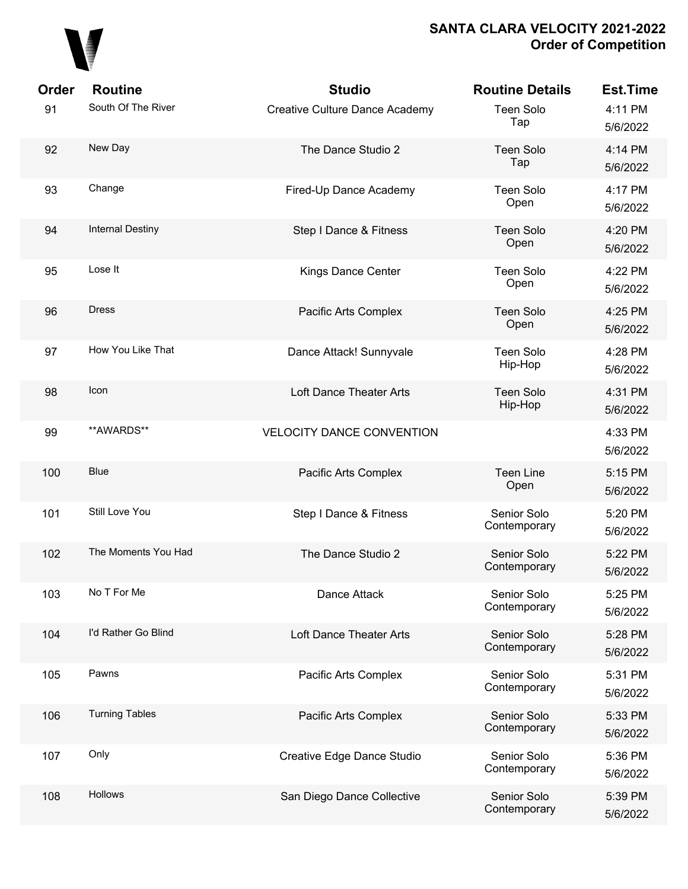

| Order | <b>Routine</b>          | <b>Studio</b>                         | <b>Routine Details</b>      | <b>Est.Time</b>     |
|-------|-------------------------|---------------------------------------|-----------------------------|---------------------|
| 91    | South Of The River      | <b>Creative Culture Dance Academy</b> | Teen Solo<br>Tap            | 4:11 PM<br>5/6/2022 |
| 92    | New Day                 | The Dance Studio 2                    | <b>Teen Solo</b><br>Tap     | 4:14 PM<br>5/6/2022 |
| 93    | Change                  | Fired-Up Dance Academy                | Teen Solo<br>Open           | 4:17 PM<br>5/6/2022 |
| 94    | <b>Internal Destiny</b> | Step I Dance & Fitness                | <b>Teen Solo</b><br>Open    | 4:20 PM<br>5/6/2022 |
| 95    | Lose It                 | Kings Dance Center                    | Teen Solo<br>Open           | 4:22 PM<br>5/6/2022 |
| 96    | <b>Dress</b>            | Pacific Arts Complex                  | <b>Teen Solo</b><br>Open    | 4:25 PM<br>5/6/2022 |
| 97    | How You Like That       | Dance Attack! Sunnyvale               | Teen Solo<br>Hip-Hop        | 4:28 PM<br>5/6/2022 |
| 98    | Icon                    | Loft Dance Theater Arts               | <b>Teen Solo</b><br>Hip-Hop | 4:31 PM<br>5/6/2022 |
| 99    | **AWARDS**              | <b>VELOCITY DANCE CONVENTION</b>      |                             | 4:33 PM<br>5/6/2022 |
| 100   | <b>Blue</b>             | Pacific Arts Complex                  | <b>Teen Line</b><br>Open    | 5:15 PM<br>5/6/2022 |
| 101   | Still Love You          | Step I Dance & Fitness                | Senior Solo<br>Contemporary | 5:20 PM<br>5/6/2022 |
| 102   | The Moments You Had     | The Dance Studio 2                    | Senior Solo<br>Contemporary | 5:22 PM<br>5/6/2022 |
| 103   | No T For Me             | Dance Attack                          | Senior Solo<br>Contemporary | 5:25 PM<br>5/6/2022 |
| 104   | I'd Rather Go Blind     | Loft Dance Theater Arts               | Senior Solo<br>Contemporary | 5:28 PM<br>5/6/2022 |
| 105   | Pawns                   | Pacific Arts Complex                  | Senior Solo<br>Contemporary | 5:31 PM<br>5/6/2022 |
| 106   | <b>Turning Tables</b>   | Pacific Arts Complex                  | Senior Solo<br>Contemporary | 5:33 PM<br>5/6/2022 |
| 107   | Only                    | Creative Edge Dance Studio            | Senior Solo<br>Contemporary | 5:36 PM<br>5/6/2022 |
| 108   | Hollows                 | San Diego Dance Collective            | Senior Solo<br>Contemporary | 5:39 PM<br>5/6/2022 |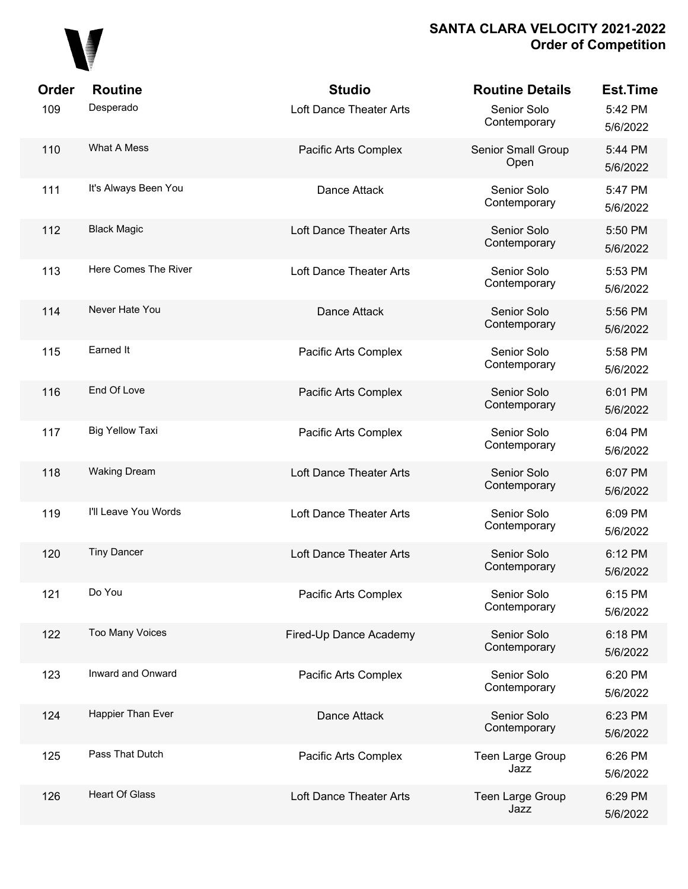

| Order | <b>Routine</b>         | <b>Studio</b>           | <b>Routine Details</b>      | <b>Est.Time</b>     |
|-------|------------------------|-------------------------|-----------------------------|---------------------|
| 109   | Desperado              | Loft Dance Theater Arts | Senior Solo<br>Contemporary | 5:42 PM<br>5/6/2022 |
| 110   | What A Mess            | Pacific Arts Complex    | Senior Small Group<br>Open  | 5:44 PM<br>5/6/2022 |
| 111   | It's Always Been You   | Dance Attack            | Senior Solo<br>Contemporary | 5:47 PM<br>5/6/2022 |
| 112   | <b>Black Magic</b>     | Loft Dance Theater Arts | Senior Solo<br>Contemporary | 5:50 PM<br>5/6/2022 |
| 113   | Here Comes The River   | Loft Dance Theater Arts | Senior Solo<br>Contemporary | 5:53 PM<br>5/6/2022 |
| 114   | Never Hate You         | Dance Attack            | Senior Solo<br>Contemporary | 5:56 PM<br>5/6/2022 |
| 115   | Earned It              | Pacific Arts Complex    | Senior Solo<br>Contemporary | 5:58 PM<br>5/6/2022 |
| 116   | End Of Love            | Pacific Arts Complex    | Senior Solo<br>Contemporary | 6:01 PM<br>5/6/2022 |
| 117   | <b>Big Yellow Taxi</b> | Pacific Arts Complex    | Senior Solo<br>Contemporary | 6:04 PM<br>5/6/2022 |
| 118   | <b>Waking Dream</b>    | Loft Dance Theater Arts | Senior Solo<br>Contemporary | 6:07 PM<br>5/6/2022 |
| 119   | I'll Leave You Words   | Loft Dance Theater Arts | Senior Solo<br>Contemporary | 6:09 PM<br>5/6/2022 |
| 120   | <b>Tiny Dancer</b>     | Loft Dance Theater Arts | Senior Solo<br>Contemporary | 6:12 PM<br>5/6/2022 |
| 121   | Do You                 | Pacific Arts Complex    | Senior Solo<br>Contemporary | 6:15 PM<br>5/6/2022 |
| 122   | <b>Too Many Voices</b> | Fired-Up Dance Academy  | Senior Solo<br>Contemporary | 6:18 PM<br>5/6/2022 |
| 123   | Inward and Onward      | Pacific Arts Complex    | Senior Solo<br>Contemporary | 6:20 PM<br>5/6/2022 |
| 124   | Happier Than Ever      | Dance Attack            | Senior Solo<br>Contemporary | 6:23 PM<br>5/6/2022 |
| 125   | Pass That Dutch        | Pacific Arts Complex    | Teen Large Group<br>Jazz    | 6:26 PM<br>5/6/2022 |
| 126   | <b>Heart Of Glass</b>  | Loft Dance Theater Arts | Teen Large Group<br>Jazz    | 6:29 PM<br>5/6/2022 |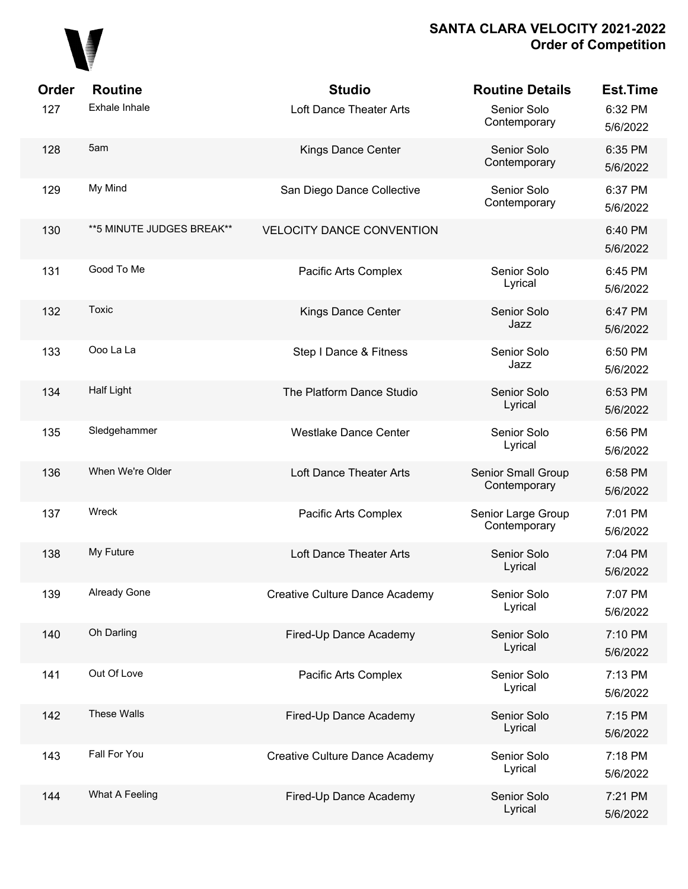

| Order | <b>Routine</b>             | <b>Studio</b>                         | <b>Routine Details</b>             | <b>Est.Time</b>     |
|-------|----------------------------|---------------------------------------|------------------------------------|---------------------|
| 127   | Exhale Inhale              | Loft Dance Theater Arts               | Senior Solo<br>Contemporary        | 6:32 PM<br>5/6/2022 |
| 128   | 5am                        | Kings Dance Center                    | Senior Solo<br>Contemporary        | 6:35 PM<br>5/6/2022 |
| 129   | My Mind                    | San Diego Dance Collective            | Senior Solo<br>Contemporary        | 6:37 PM<br>5/6/2022 |
| 130   | ** 5 MINUTE JUDGES BREAK** | <b>VELOCITY DANCE CONVENTION</b>      |                                    | 6:40 PM<br>5/6/2022 |
| 131   | Good To Me                 | Pacific Arts Complex                  | Senior Solo<br>Lyrical             | 6:45 PM<br>5/6/2022 |
| 132   | Toxic                      | Kings Dance Center                    | Senior Solo<br>Jazz                | 6:47 PM<br>5/6/2022 |
| 133   | Ooo La La                  | Step I Dance & Fitness                | Senior Solo<br>Jazz                | 6:50 PM<br>5/6/2022 |
| 134   | <b>Half Light</b>          | The Platform Dance Studio             | Senior Solo<br>Lyrical             | 6:53 PM<br>5/6/2022 |
| 135   | Sledgehammer               | <b>Westlake Dance Center</b>          | Senior Solo<br>Lyrical             | 6:56 PM<br>5/6/2022 |
| 136   | When We're Older           | Loft Dance Theater Arts               | Senior Small Group<br>Contemporary | 6:58 PM<br>5/6/2022 |
| 137   | Wreck                      | Pacific Arts Complex                  | Senior Large Group<br>Contemporary | 7:01 PM<br>5/6/2022 |
| 138   | My Future                  | Loft Dance Theater Arts               | Senior Solo<br>Lyrical             | 7:04 PM<br>5/6/2022 |
| 139   | <b>Already Gone</b>        | <b>Creative Culture Dance Academy</b> | Senior Solo<br>Lyrical             | 7:07 PM<br>5/6/2022 |
| 140   | Oh Darling                 | Fired-Up Dance Academy                | Senior Solo<br>Lyrical             | 7:10 PM<br>5/6/2022 |
| 141   | Out Of Love                | Pacific Arts Complex                  | Senior Solo<br>Lyrical             | 7:13 PM<br>5/6/2022 |
| 142   | These Walls                | Fired-Up Dance Academy                | Senior Solo<br>Lyrical             | 7:15 PM<br>5/6/2022 |
| 143   | Fall For You               | Creative Culture Dance Academy        | Senior Solo<br>Lyrical             | 7:18 PM<br>5/6/2022 |
| 144   | What A Feeling             | Fired-Up Dance Academy                | Senior Solo<br>Lyrical             | 7:21 PM<br>5/6/2022 |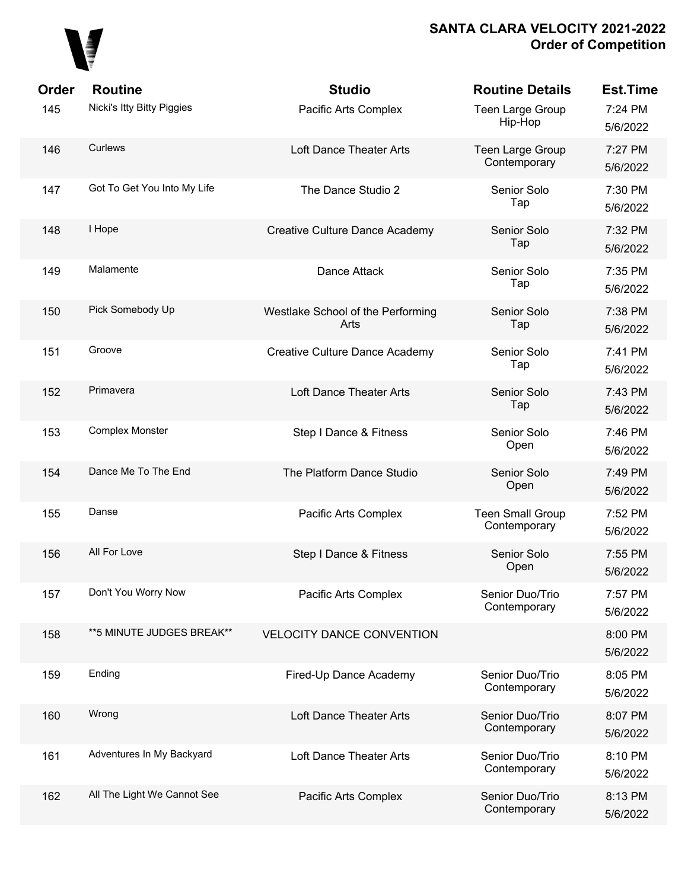

| Order | <b>Routine</b>              | <b>Studio</b>                             | <b>Routine Details</b>                  | <b>Est.Time</b>     |
|-------|-----------------------------|-------------------------------------------|-----------------------------------------|---------------------|
| 145   | Nicki's Itty Bitty Piggies  | Pacific Arts Complex                      | Teen Large Group<br>Hip-Hop             | 7:24 PM<br>5/6/2022 |
| 146   | Curlews                     | Loft Dance Theater Arts                   | Teen Large Group<br>Contemporary        | 7:27 PM<br>5/6/2022 |
| 147   | Got To Get You Into My Life | The Dance Studio 2                        | Senior Solo<br>Tap                      | 7:30 PM<br>5/6/2022 |
| 148   | I Hope                      | Creative Culture Dance Academy            | Senior Solo<br>Tap                      | 7:32 PM<br>5/6/2022 |
| 149   | Malamente                   | Dance Attack                              | Senior Solo<br>Tap                      | 7:35 PM<br>5/6/2022 |
| 150   | Pick Somebody Up            | Westlake School of the Performing<br>Arts | Senior Solo<br>Tap                      | 7:38 PM<br>5/6/2022 |
| 151   | Groove                      | Creative Culture Dance Academy            | Senior Solo<br>Tap                      | 7:41 PM<br>5/6/2022 |
| 152   | Primavera                   | Loft Dance Theater Arts                   | Senior Solo<br>Tap                      | 7:43 PM<br>5/6/2022 |
| 153   | Complex Monster             | Step I Dance & Fitness                    | Senior Solo<br>Open                     | 7:46 PM<br>5/6/2022 |
| 154   | Dance Me To The End         | The Platform Dance Studio                 | Senior Solo<br>Open                     | 7:49 PM<br>5/6/2022 |
| 155   | Danse                       | Pacific Arts Complex                      | <b>Teen Small Group</b><br>Contemporary | 7:52 PM<br>5/6/2022 |
| 156   | All For Love                | Step I Dance & Fitness                    | Senior Solo<br>Open                     | 7:55 PM<br>5/6/2022 |
| 157   | Don't You Worry Now         | Pacific Arts Complex                      | Senior Duo/Trio<br>Contemporary         | 7:57 PM<br>5/6/2022 |
| 158   | ** 5 MINUTE JUDGES BREAK**  | <b>VELOCITY DANCE CONVENTION</b>          |                                         | 8:00 PM<br>5/6/2022 |
| 159   | Ending                      | Fired-Up Dance Academy                    | Senior Duo/Trio<br>Contemporary         | 8:05 PM<br>5/6/2022 |
| 160   | Wrong                       | Loft Dance Theater Arts                   | Senior Duo/Trio<br>Contemporary         | 8:07 PM<br>5/6/2022 |
| 161   | Adventures In My Backyard   | Loft Dance Theater Arts                   | Senior Duo/Trio<br>Contemporary         | 8:10 PM<br>5/6/2022 |
| 162   | All The Light We Cannot See | Pacific Arts Complex                      | Senior Duo/Trio<br>Contemporary         | 8:13 PM<br>5/6/2022 |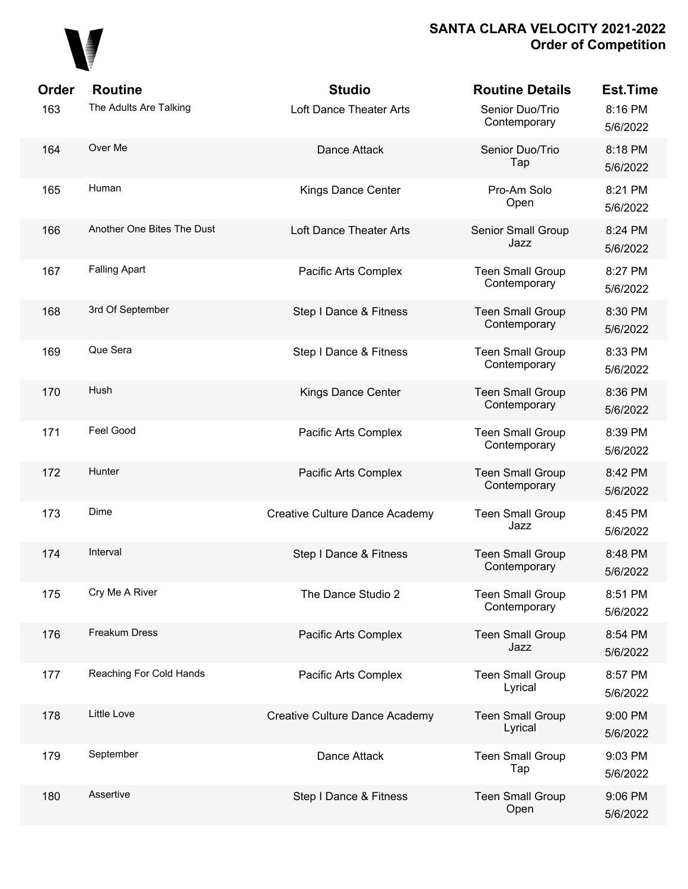

| Order | <b>Routine</b>             | <b>Studio</b>                         | <b>Routine Details</b>                  | <b>Est.Time</b>     |
|-------|----------------------------|---------------------------------------|-----------------------------------------|---------------------|
| 163   | The Adults Are Talking     | Loft Dance Theater Arts               | Senior Duo/Trio<br>Contemporary         | 8:16 PM<br>5/6/2022 |
| 164   | Over Me                    | Dance Attack                          | Senior Duo/Trio<br>Tap                  | 8:18 PM<br>5/6/2022 |
| 165   | Human                      | <b>Kings Dance Center</b>             | Pro-Am Solo<br>Open                     | 8:21 PM<br>5/6/2022 |
| 166   | Another One Bites The Dust | Loft Dance Theater Arts               | Senior Small Group<br>Jazz              | 8:24 PM<br>5/6/2022 |
| 167   | <b>Falling Apart</b>       | Pacific Arts Complex                  | <b>Teen Small Group</b><br>Contemporary | 8:27 PM<br>5/6/2022 |
| 168   | 3rd Of September           | Step I Dance & Fitness                | <b>Teen Small Group</b><br>Contemporary | 8:30 PM<br>5/6/2022 |
| 169   | Que Sera                   | Step I Dance & Fitness                | <b>Teen Small Group</b><br>Contemporary | 8:33 PM<br>5/6/2022 |
| 170   | Hush                       | Kings Dance Center                    | <b>Teen Small Group</b><br>Contemporary | 8:36 PM<br>5/6/2022 |
| 171   | Feel Good                  | Pacific Arts Complex                  | <b>Teen Small Group</b><br>Contemporary | 8:39 PM<br>5/6/2022 |
| 172   | Hunter                     | Pacific Arts Complex                  | <b>Teen Small Group</b><br>Contemporary | 8:42 PM<br>5/6/2022 |
| 173   | Dime                       | <b>Creative Culture Dance Academy</b> | <b>Teen Small Group</b><br>Jazz         | 8:45 PM<br>5/6/2022 |
| 174   | Interval                   | Step I Dance & Fitness                | <b>Teen Small Group</b><br>Contemporary | 8:48 PM<br>5/6/2022 |
| 175   | Cry Me A River             | The Dance Studio 2                    | <b>Teen Small Group</b><br>Contemporary | 8:51 PM<br>5/6/2022 |
| 176   | Freakum Dress              | Pacific Arts Complex                  | <b>Teen Small Group</b><br>Jazz         | 8:54 PM<br>5/6/2022 |
| 177   | Reaching For Cold Hands    | Pacific Arts Complex                  | <b>Teen Small Group</b><br>Lyrical      | 8:57 PM<br>5/6/2022 |
| 178   | Little Love                | Creative Culture Dance Academy        | <b>Teen Small Group</b><br>Lyrical      | 9:00 PM<br>5/6/2022 |
| 179   | September                  | Dance Attack                          | <b>Teen Small Group</b><br>Tap          | 9:03 PM<br>5/6/2022 |
| 180   | Assertive                  | Step I Dance & Fitness                | <b>Teen Small Group</b><br>Open         | 9:06 PM<br>5/6/2022 |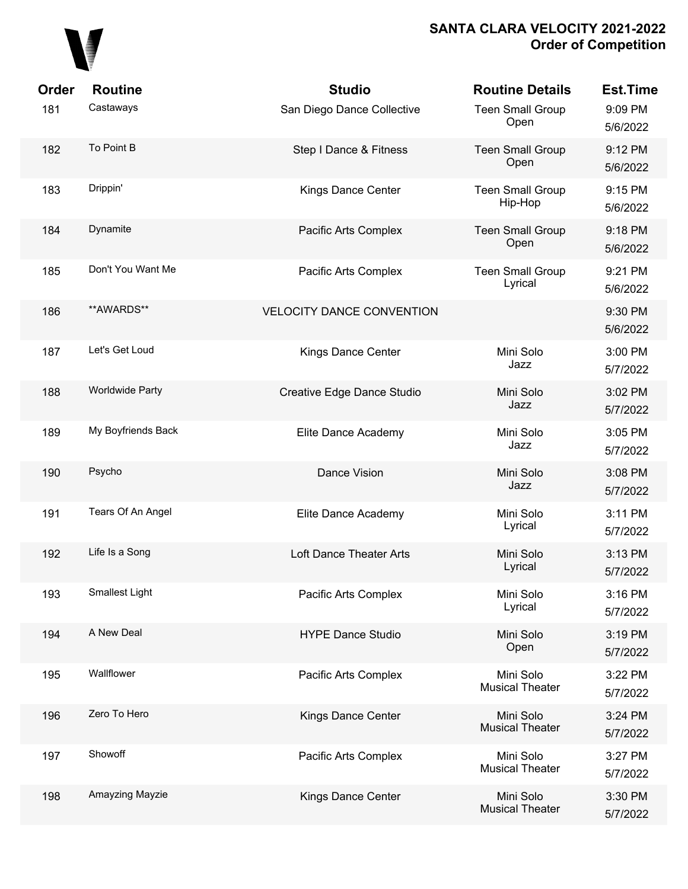

| Order | <b>Routine</b>         | <b>Studio</b>                    | <b>Routine Details</b>              | <b>Est.Time</b>     |
|-------|------------------------|----------------------------------|-------------------------------------|---------------------|
| 181   | Castaways              | San Diego Dance Collective       | <b>Teen Small Group</b><br>Open     | 9:09 PM<br>5/6/2022 |
| 182   | To Point B             | Step I Dance & Fitness           | <b>Teen Small Group</b><br>Open     | 9:12 PM<br>5/6/2022 |
| 183   | Drippin'               | <b>Kings Dance Center</b>        | <b>Teen Small Group</b><br>Hip-Hop  | 9:15 PM<br>5/6/2022 |
| 184   | Dynamite               | Pacific Arts Complex             | <b>Teen Small Group</b><br>Open     | 9:18 PM<br>5/6/2022 |
| 185   | Don't You Want Me      | Pacific Arts Complex             | <b>Teen Small Group</b><br>Lyrical  | 9:21 PM<br>5/6/2022 |
| 186   | **AWARDS**             | <b>VELOCITY DANCE CONVENTION</b> |                                     | 9:30 PM<br>5/6/2022 |
| 187   | Let's Get Loud         | Kings Dance Center               | Mini Solo<br>Jazz                   | 3:00 PM<br>5/7/2022 |
| 188   | <b>Worldwide Party</b> | Creative Edge Dance Studio       | Mini Solo<br>Jazz                   | 3:02 PM<br>5/7/2022 |
| 189   | My Boyfriends Back     | Elite Dance Academy              | Mini Solo<br>Jazz                   | 3:05 PM<br>5/7/2022 |
| 190   | Psycho                 | Dance Vision                     | Mini Solo<br>Jazz                   | 3:08 PM<br>5/7/2022 |
| 191   | Tears Of An Angel      | Elite Dance Academy              | Mini Solo<br>Lyrical                | 3:11 PM<br>5/7/2022 |
| 192   | Life Is a Song         | Loft Dance Theater Arts          | Mini Solo<br>Lyrical                | 3:13 PM<br>5/7/2022 |
| 193   | Smallest Light         | Pacific Arts Complex             | Mini Solo<br>Lyrical                | 3:16 PM<br>5/7/2022 |
| 194   | A New Deal             | <b>HYPE Dance Studio</b>         | Mini Solo<br>Open                   | 3:19 PM<br>5/7/2022 |
| 195   | Wallflower             | Pacific Arts Complex             | Mini Solo<br><b>Musical Theater</b> | 3:22 PM<br>5/7/2022 |
| 196   | Zero To Hero           | Kings Dance Center               | Mini Solo<br><b>Musical Theater</b> | 3:24 PM<br>5/7/2022 |
| 197   | Showoff                | Pacific Arts Complex             | Mini Solo<br><b>Musical Theater</b> | 3:27 PM<br>5/7/2022 |
| 198   | Amayzing Mayzie        | Kings Dance Center               | Mini Solo<br><b>Musical Theater</b> | 3:30 PM<br>5/7/2022 |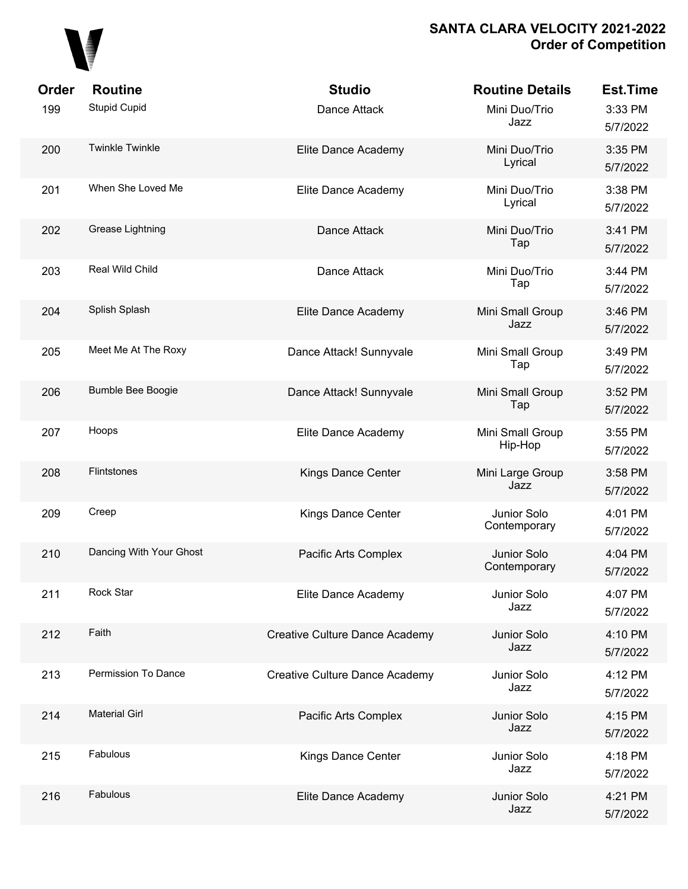

| <b>Order</b><br>199 | <b>Routine</b><br><b>Stupid Cupid</b> | <b>Studio</b><br>Dance Attack         | <b>Routine Details</b><br>Mini Duo/Trio<br>Jazz | <b>Est.Time</b><br>3:33 PM<br>5/7/2022 |
|---------------------|---------------------------------------|---------------------------------------|-------------------------------------------------|----------------------------------------|
| 200                 | <b>Twinkle Twinkle</b>                | Elite Dance Academy                   | Mini Duo/Trio<br>Lyrical                        | 3:35 PM<br>5/7/2022                    |
| 201                 | When She Loved Me                     | Elite Dance Academy                   | Mini Duo/Trio<br>Lyrical                        | 3:38 PM<br>5/7/2022                    |
| 202                 | Grease Lightning                      | Dance Attack                          | Mini Duo/Trio<br>Tap                            | 3:41 PM<br>5/7/2022                    |
| 203                 | Real Wild Child                       | Dance Attack                          | Mini Duo/Trio<br>Tap                            | 3:44 PM<br>5/7/2022                    |
| 204                 | Splish Splash                         | Elite Dance Academy                   | Mini Small Group<br>Jazz                        | 3:46 PM<br>5/7/2022                    |
| 205                 | Meet Me At The Roxy                   | Dance Attack! Sunnyvale               | Mini Small Group<br>Tap                         | 3:49 PM<br>5/7/2022                    |
| 206                 | Bumble Bee Boogie                     | Dance Attack! Sunnyvale               | Mini Small Group<br>Tap                         | 3:52 PM<br>5/7/2022                    |
| 207                 | Hoops                                 | Elite Dance Academy                   | Mini Small Group<br>Hip-Hop                     | 3:55 PM<br>5/7/2022                    |
| 208                 | Flintstones                           | Kings Dance Center                    | Mini Large Group<br>Jazz                        | 3:58 PM<br>5/7/2022                    |
| 209                 | Creep                                 | Kings Dance Center                    | Junior Solo<br>Contemporary                     | 4:01 PM<br>5/7/2022                    |
| 210                 | Dancing With Your Ghost               | Pacific Arts Complex                  | Junior Solo<br>Contemporary                     | 4:04 PM<br>5/7/2022                    |
| 211                 | Rock Star                             | Elite Dance Academy                   | Junior Solo<br>Jazz                             | 4:07 PM<br>5/7/2022                    |
| 212                 | Faith                                 | Creative Culture Dance Academy        | Junior Solo<br>Jazz                             | 4:10 PM<br>5/7/2022                    |
| 213                 | Permission To Dance                   | <b>Creative Culture Dance Academy</b> | Junior Solo<br>Jazz                             | 4:12 PM<br>5/7/2022                    |
| 214                 | <b>Material Girl</b>                  | Pacific Arts Complex                  | Junior Solo<br>Jazz                             | 4:15 PM<br>5/7/2022                    |
| 215                 | Fabulous                              | Kings Dance Center                    | Junior Solo<br>Jazz                             | 4:18 PM<br>5/7/2022                    |
| 216                 | Fabulous                              | Elite Dance Academy                   | Junior Solo<br>Jazz                             | 4:21 PM<br>5/7/2022                    |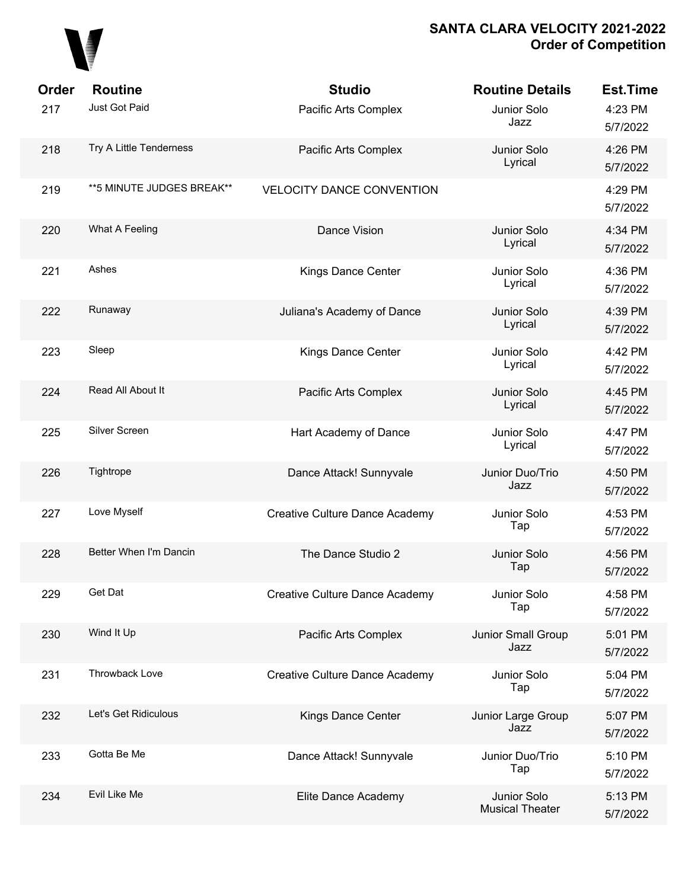

| Order | <b>Routine</b>             | <b>Studio</b>                         | <b>Routine Details</b>                | <b>Est.Time</b>     |
|-------|----------------------------|---------------------------------------|---------------------------------------|---------------------|
| 217   | Just Got Paid              | Pacific Arts Complex                  | Junior Solo<br>Jazz                   | 4:23 PM<br>5/7/2022 |
| 218   | Try A Little Tenderness    | Pacific Arts Complex                  | Junior Solo<br>Lyrical                | 4:26 PM<br>5/7/2022 |
| 219   | ** 5 MINUTE JUDGES BREAK** | <b>VELOCITY DANCE CONVENTION</b>      |                                       | 4:29 PM<br>5/7/2022 |
| 220   | What A Feeling             | Dance Vision                          | Junior Solo<br>Lyrical                | 4:34 PM<br>5/7/2022 |
| 221   | Ashes                      | Kings Dance Center                    | Junior Solo<br>Lyrical                | 4:36 PM<br>5/7/2022 |
| 222   | Runaway                    | Juliana's Academy of Dance            | Junior Solo<br>Lyrical                | 4:39 PM<br>5/7/2022 |
| 223   | Sleep                      | Kings Dance Center                    | Junior Solo<br>Lyrical                | 4:42 PM<br>5/7/2022 |
| 224   | Read All About It          | Pacific Arts Complex                  | Junior Solo<br>Lyrical                | 4:45 PM<br>5/7/2022 |
| 225   | Silver Screen              | Hart Academy of Dance                 | Junior Solo<br>Lyrical                | 4:47 PM<br>5/7/2022 |
| 226   | Tightrope                  | Dance Attack! Sunnyvale               | Junior Duo/Trio<br>Jazz               | 4:50 PM<br>5/7/2022 |
| 227   | Love Myself                | Creative Culture Dance Academy        | Junior Solo<br>Tap                    | 4:53 PM<br>5/7/2022 |
| 228   | Better When I'm Dancin     | The Dance Studio 2                    | Junior Solo<br>Tap                    | 4:56 PM<br>5/7/2022 |
| 229   | Get Dat                    | <b>Creative Culture Dance Academy</b> | Junior Solo<br>Tap                    | 4:58 PM<br>5/7/2022 |
| 230   | Wind It Up                 | Pacific Arts Complex                  | Junior Small Group<br>Jazz            | 5:01 PM<br>5/7/2022 |
| 231   | Throwback Love             | Creative Culture Dance Academy        | Junior Solo<br>Tap                    | 5:04 PM<br>5/7/2022 |
| 232   | Let's Get Ridiculous       | Kings Dance Center                    | Junior Large Group<br>Jazz            | 5:07 PM<br>5/7/2022 |
| 233   | Gotta Be Me                | Dance Attack! Sunnyvale               | Junior Duo/Trio<br>Tap                | 5:10 PM<br>5/7/2022 |
| 234   | Evil Like Me               | Elite Dance Academy                   | Junior Solo<br><b>Musical Theater</b> | 5:13 PM<br>5/7/2022 |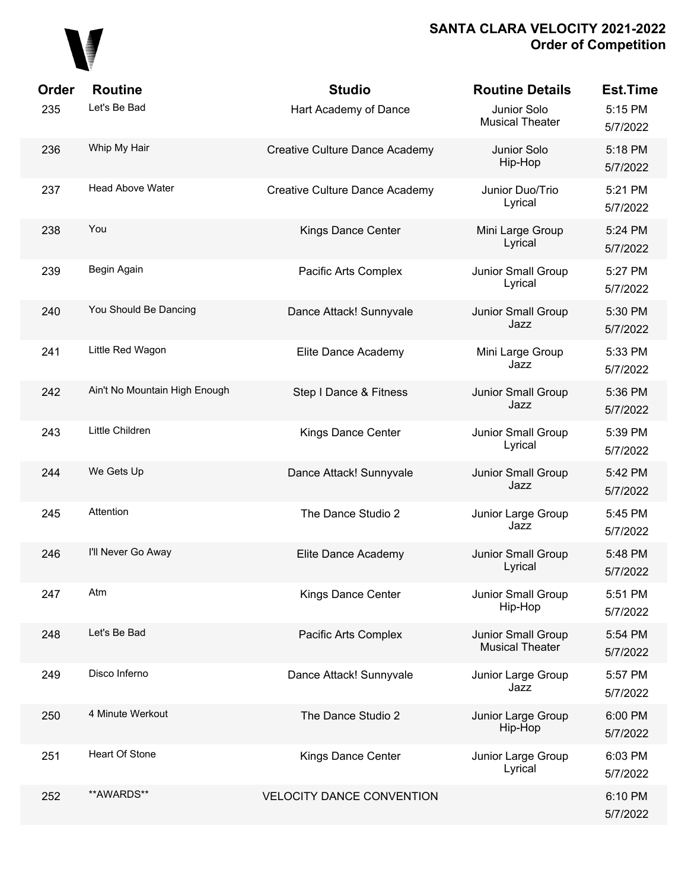

| Order | <b>Routine</b>                | <b>Studio</b>                         | <b>Routine Details</b>                       | <b>Est.Time</b>     |
|-------|-------------------------------|---------------------------------------|----------------------------------------------|---------------------|
| 235   | Let's Be Bad                  | Hart Academy of Dance                 | Junior Solo<br><b>Musical Theater</b>        | 5:15 PM<br>5/7/2022 |
| 236   | Whip My Hair                  | <b>Creative Culture Dance Academy</b> | Junior Solo<br>Hip-Hop                       | 5:18 PM<br>5/7/2022 |
| 237   | Head Above Water              | <b>Creative Culture Dance Academy</b> | Junior Duo/Trio<br>Lyrical                   | 5:21 PM<br>5/7/2022 |
| 238   | You                           | Kings Dance Center                    | Mini Large Group<br>Lyrical                  | 5:24 PM<br>5/7/2022 |
| 239   | Begin Again                   | Pacific Arts Complex                  | Junior Small Group<br>Lyrical                | 5:27 PM<br>5/7/2022 |
| 240   | You Should Be Dancing         | Dance Attack! Sunnyvale               | Junior Small Group<br>Jazz                   | 5:30 PM<br>5/7/2022 |
| 241   | Little Red Wagon              | Elite Dance Academy                   | Mini Large Group<br>Jazz                     | 5:33 PM<br>5/7/2022 |
| 242   | Ain't No Mountain High Enough | Step I Dance & Fitness                | Junior Small Group<br>Jazz                   | 5:36 PM<br>5/7/2022 |
| 243   | Little Children               | Kings Dance Center                    | Junior Small Group<br>Lyrical                | 5:39 PM<br>5/7/2022 |
| 244   | We Gets Up                    | Dance Attack! Sunnyvale               | Junior Small Group<br>Jazz                   | 5:42 PM<br>5/7/2022 |
| 245   | Attention                     | The Dance Studio 2                    | Junior Large Group<br>Jazz                   | 5:45 PM<br>5/7/2022 |
| 246   | I'll Never Go Away            | Elite Dance Academy                   | Junior Small Group<br>Lyrical                | 5:48 PM<br>5/7/2022 |
| 247   | Atm                           | Kings Dance Center                    | Junior Small Group<br>Hip-Hop                | 5:51 PM<br>5/7/2022 |
| 248   | Let's Be Bad                  | Pacific Arts Complex                  | Junior Small Group<br><b>Musical Theater</b> | 5:54 PM<br>5/7/2022 |
| 249   | Disco Inferno                 | Dance Attack! Sunnyvale               | Junior Large Group<br>Jazz                   | 5:57 PM<br>5/7/2022 |
| 250   | 4 Minute Werkout              | The Dance Studio 2                    | Junior Large Group<br>Hip-Hop                | 6:00 PM<br>5/7/2022 |
| 251   | <b>Heart Of Stone</b>         | Kings Dance Center                    | Junior Large Group<br>Lyrical                | 6:03 PM<br>5/7/2022 |
| 252   | **AWARDS**                    | <b>VELOCITY DANCE CONVENTION</b>      |                                              | 6:10 PM<br>5/7/2022 |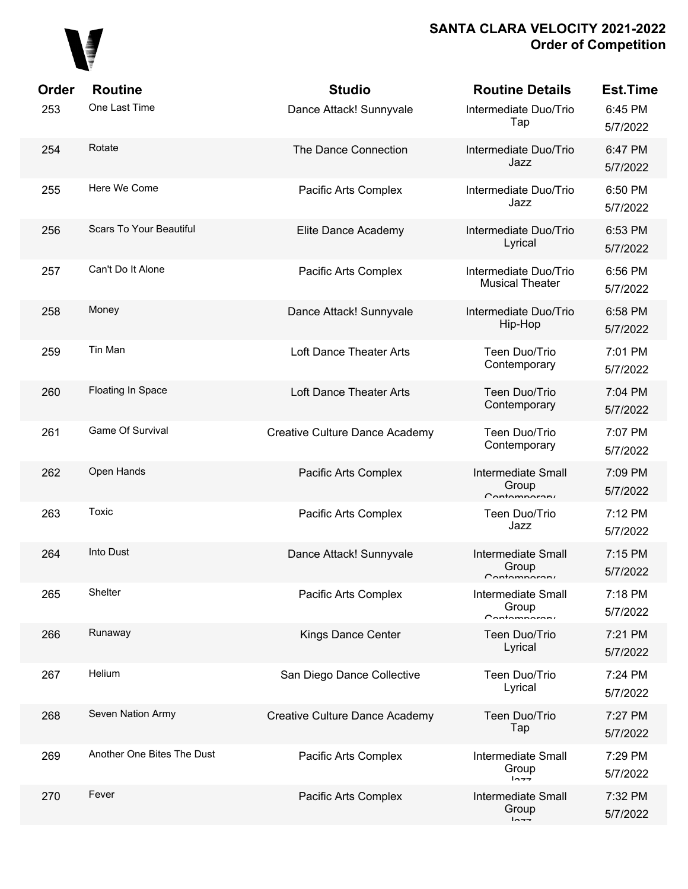

| Order | <b>Routine</b>                 | <b>Studio</b>                         | <b>Routine Details</b>                                | <b>Est.Time</b>     |
|-------|--------------------------------|---------------------------------------|-------------------------------------------------------|---------------------|
| 253   | One Last Time                  | Dance Attack! Sunnyvale               | Intermediate Duo/Trio<br>Tap                          | 6:45 PM<br>5/7/2022 |
| 254   | Rotate                         | The Dance Connection                  | Intermediate Duo/Trio<br>Jazz                         | 6:47 PM<br>5/7/2022 |
| 255   | Here We Come                   | Pacific Arts Complex                  | Intermediate Duo/Trio<br>Jazz                         | 6:50 PM<br>5/7/2022 |
| 256   | <b>Scars To Your Beautiful</b> | Elite Dance Academy                   | Intermediate Duo/Trio<br>Lyrical                      | 6:53 PM<br>5/7/2022 |
| 257   | Can't Do It Alone              | Pacific Arts Complex                  | Intermediate Duo/Trio<br><b>Musical Theater</b>       | 6:56 PM<br>5/7/2022 |
| 258   | Money                          | Dance Attack! Sunnyvale               | Intermediate Duo/Trio<br>Hip-Hop                      | 6:58 PM<br>5/7/2022 |
| 259   | Tin Man                        | Loft Dance Theater Arts               | Teen Duo/Trio<br>Contemporary                         | 7:01 PM<br>5/7/2022 |
| 260   | Floating In Space              | Loft Dance Theater Arts               | Teen Duo/Trio<br>Contemporary                         | 7:04 PM<br>5/7/2022 |
| 261   | Game Of Survival               | <b>Creative Culture Dance Academy</b> | Teen Duo/Trio<br>Contemporary                         | 7:07 PM<br>5/7/2022 |
| 262   | Open Hands                     | Pacific Arts Complex                  | <b>Intermediate Small</b><br>Group<br>$C$ ontomnoroni | 7:09 PM<br>5/7/2022 |
| 263   | Toxic                          | Pacific Arts Complex                  | Teen Duo/Trio<br>Jazz                                 | 7:12 PM<br>5/7/2022 |
| 264   | Into Dust                      | Dance Attack! Sunnyvale               | Intermediate Small<br>Group<br>Contamparary           | 7:15 PM<br>5/7/2022 |
| 265   | Shelter                        | Pacific Arts Complex                  | Intermediate Small<br>Group<br>$C$ ontomnoroni        | 7:18 PM<br>5/7/2022 |
| 266   | Runaway                        | Kings Dance Center                    | Teen Duo/Trio<br>Lyrical                              | 7:21 PM<br>5/7/2022 |
| 267   | Helium                         | San Diego Dance Collective            | Teen Duo/Trio<br>Lyrical                              | 7:24 PM<br>5/7/2022 |
| 268   | Seven Nation Army              | Creative Culture Dance Academy        | Teen Duo/Trio<br>Tap                                  | 7:27 PM<br>5/7/2022 |
| 269   | Another One Bites The Dust     | Pacific Arts Complex                  | <b>Intermediate Small</b><br>Group<br>1077            | 7:29 PM<br>5/7/2022 |
| 270   | Fever                          | Pacific Arts Complex                  | <b>Intermediate Small</b><br>Group<br>$1 - -$         | 7:32 PM<br>5/7/2022 |
|       |                                |                                       |                                                       |                     |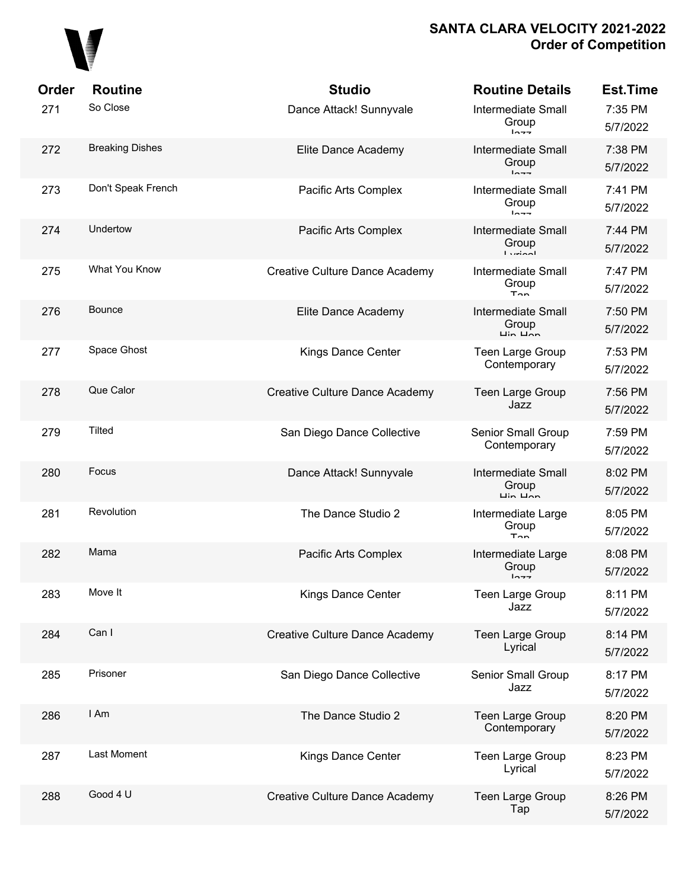

| Order | <b>Routine</b>         | <b>Studio</b>                  | <b>Routine Details</b>                                                    | <b>Est.Time</b>     |
|-------|------------------------|--------------------------------|---------------------------------------------------------------------------|---------------------|
| 271   | So Close               | Dance Attack! Sunnyvale        | <b>Intermediate Small</b><br>Group<br>$ln -$                              | 7:35 PM<br>5/7/2022 |
| 272   | <b>Breaking Dishes</b> | Elite Dance Academy            | <b>Intermediate Small</b><br>Group<br>$1 - -$                             | 7:38 PM<br>5/7/2022 |
| 273   | Don't Speak French     | Pacific Arts Complex           | <b>Intermediate Small</b><br>Group<br>$ln -$                              | 7:41 PM<br>5/7/2022 |
| 274   | Undertow               | Pacific Arts Complex           | <b>Intermediate Small</b><br>Group<br>$l$ <i>urinnl</i>                   | 7:44 PM<br>5/7/2022 |
| 275   | What You Know          | Creative Culture Dance Academy | <b>Intermediate Small</b><br>Group<br>$T_{\cap n}$                        | 7:47 PM<br>5/7/2022 |
| 276   | Bounce                 | Elite Dance Academy            | <b>Intermediate Small</b><br>Group<br>$\overline{u}$ in $\overline{u}$    | 7:50 PM<br>5/7/2022 |
| 277   | Space Ghost            | Kings Dance Center             | <b>Teen Large Group</b><br>Contemporary                                   | 7:53 PM<br>5/7/2022 |
| 278   | Que Calor              | Creative Culture Dance Academy | <b>Teen Large Group</b><br>Jazz                                           | 7:56 PM<br>5/7/2022 |
| 279   | <b>Tilted</b>          | San Diego Dance Collective     | Senior Small Group<br>Contemporary                                        | 7:59 PM<br>5/7/2022 |
| 280   | Focus                  | Dance Attack! Sunnyvale        | <b>Intermediate Small</b><br>Group<br>$\overline{L}$ in $\overline{L}$ an | 8:02 PM<br>5/7/2022 |
| 281   | Revolution             | The Dance Studio 2             | Intermediate Large<br>Group<br>$T_{\rm{on}}$                              | 8:05 PM<br>5/7/2022 |
| 282   | Mama                   | Pacific Arts Complex           | Intermediate Large<br>Group<br>$1 - - -$                                  | 8:08 PM<br>5/7/2022 |
| 283   | Move It                | Kings Dance Center             | <b>Teen Large Group</b><br>Jazz                                           | 8:11 PM<br>5/7/2022 |
| 284   | Can I                  | Creative Culture Dance Academy | <b>Teen Large Group</b><br>Lyrical                                        | 8:14 PM<br>5/7/2022 |
| 285   | Prisoner               | San Diego Dance Collective     | Senior Small Group<br>Jazz                                                | 8:17 PM<br>5/7/2022 |
| 286   | I Am                   | The Dance Studio 2             | <b>Teen Large Group</b><br>Contemporary                                   | 8:20 PM<br>5/7/2022 |
| 287   | <b>Last Moment</b>     | Kings Dance Center             | <b>Teen Large Group</b><br>Lyrical                                        | 8:23 PM<br>5/7/2022 |
| 288   | Good 4 U               | Creative Culture Dance Academy | <b>Teen Large Group</b><br>Tap                                            | 8:26 PM<br>5/7/2022 |